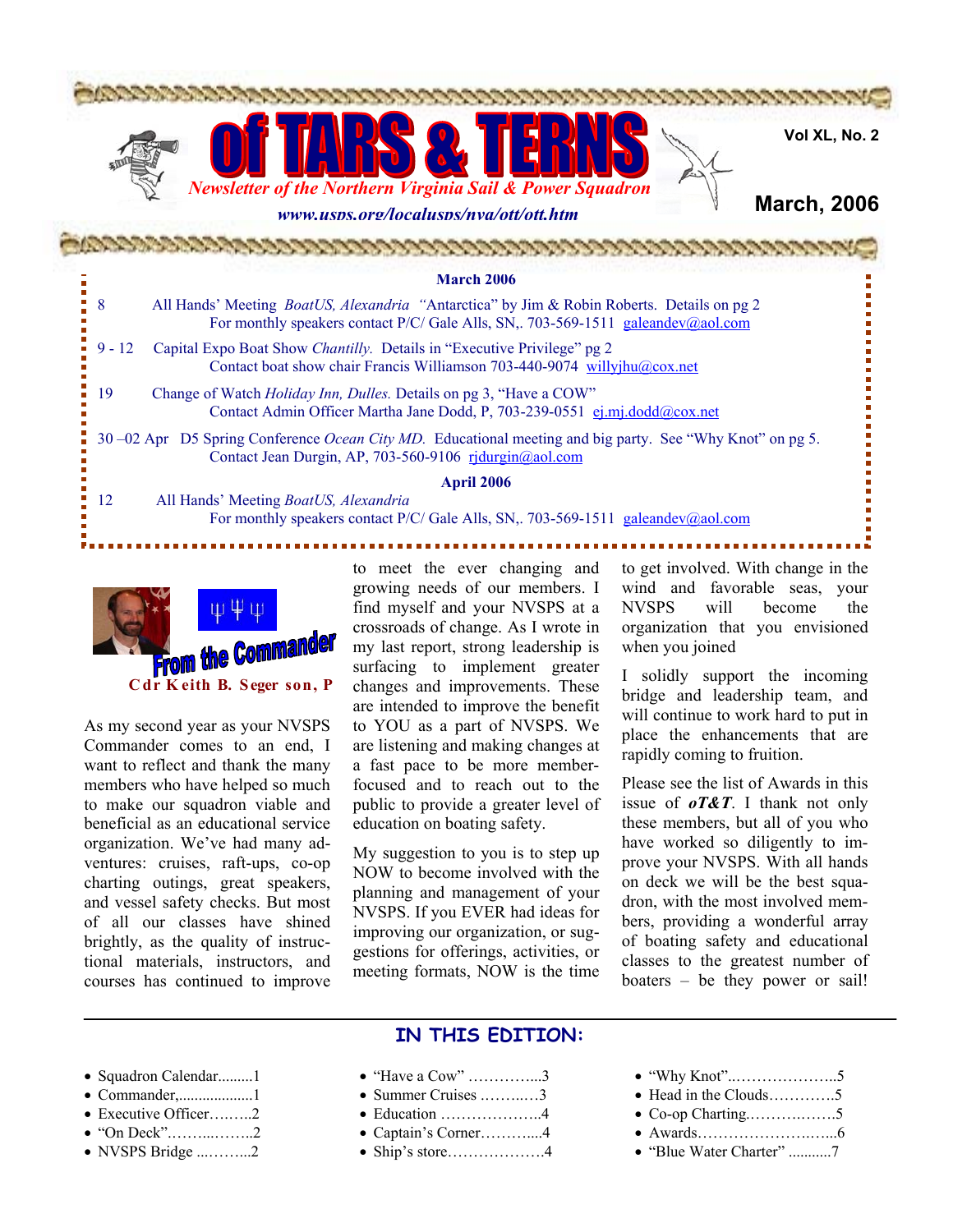

NATURA PERSONAL PROVINCIA DE LA PROVINCIA DE LA PROVINCIA DE LA PROVINCIA DE LA PROVINCIA DE LA PROVINCIA DE L

**Vol XL, No. 2**

**March, 2006**

| <b>March 2006</b>                                                                                                                                                           |                                                                                                                                                                                      |
|-----------------------------------------------------------------------------------------------------------------------------------------------------------------------------|--------------------------------------------------------------------------------------------------------------------------------------------------------------------------------------|
|                                                                                                                                                                             | All Hands' Meeting <i>BoatUS, Alexandria</i> "Antarctica" by Jim & Robin Roberts. Details on pg 2<br>For monthly speakers contact P/C/ Gale Alls, SN, 703-569-1511 galeandev@aol.com |
| $9 -$                                                                                                                                                                       | Capital Expo Boat Show Chantilly. Details in "Executive Privilege" pg 2<br>Contact boat show chair Francis Williamson 703-440-9074 willyjhu@cox.net                                  |
| 19                                                                                                                                                                          | Change of Watch <i>Holiday Inn, Dulles</i> . Details on pg 3, "Have a COW"<br>Contact Admin Officer Martha Jane Dodd, P, 703-239-0551 ej.mj.dodd@cox.net                             |
| 30 –02 Apr D5 Spring Conference <i>Ocean City MD</i> . Educational meeting and big party. See "Why Knot" on pg 5.<br>Contact Jean Durgin, AP, 703-560-9106 ridurgin@aol.com |                                                                                                                                                                                      |
|                                                                                                                                                                             | <b>April 2006</b>                                                                                                                                                                    |
|                                                                                                                                                                             | All Hands' Meeting BoatUS, Alexandria<br>For monthly speakers contact $P/C$ Gale Alls, SN, 703-569-1511 galeandev@aol.com                                                            |



As my second year as your NVSPS Commander comes to an end, I want to reflect and thank the many members who have helped so much to make our squadron viable and beneficial as an educational service organization. We've had many adventures: cruises, raft-ups, co-op charting outings, great speakers, and vessel safety checks. But most of all our classes have shined brightly, as the quality of instructional materials, instructors, and courses has continued to improve

to meet the ever changing and growing needs of our members. I find myself and your NVSPS at a crossroads of change. As I wrote in my last report, strong leadership is surfacing to implement greater changes and improvements. These are intended to improve the benefit to YOU as a part of NVSPS. We are listening and making changes at a fast pace to be more memberfocused and to reach out to the public to provide a greater level of education on boating safety.

My suggestion to you is to step up NOW to become involved with the planning and management of your NVSPS. If you EVER had ideas for improving our organization, or suggestions for offerings, activities, or meeting formats, NOW is the time to get involved. With change in the wind and favorable seas, your NVSPS will become the organization that you envisioned when you joined

I solidly support the incoming bridge and leadership team, and will continue to work hard to put in place the enhancements that are rapidly coming to fruition.

Please see the list of Awards in this issue of *oT&T*. I thank not only these members, but all of you who have worked so diligently to improve your NVSPS. With all hands on deck we will be the best squadron, with the most involved members, providing a wonderful array of boating safety and educational classes to the greatest number of boaters – be they power or sail!

### **IN THIS EDITION:**

- Squadron Calendar.........1
- Commander,...................1
- Executive Officer…......2
- "On Deck"...................2
- NVSPS Bridge ............2
- "Have a Cow"  $\dots \dots \dots \dots$ ...3 • Summer Cruises .……..…3
- Education ………………..4
- Captain's Corner………....4
- Ship's store……………….4
- "Why Knot"..………………..5
- Head in the Clouds………….5
- Co-op Charting.……….…….5
- Awards………………….…...6
- "Blue Water Charter" ............7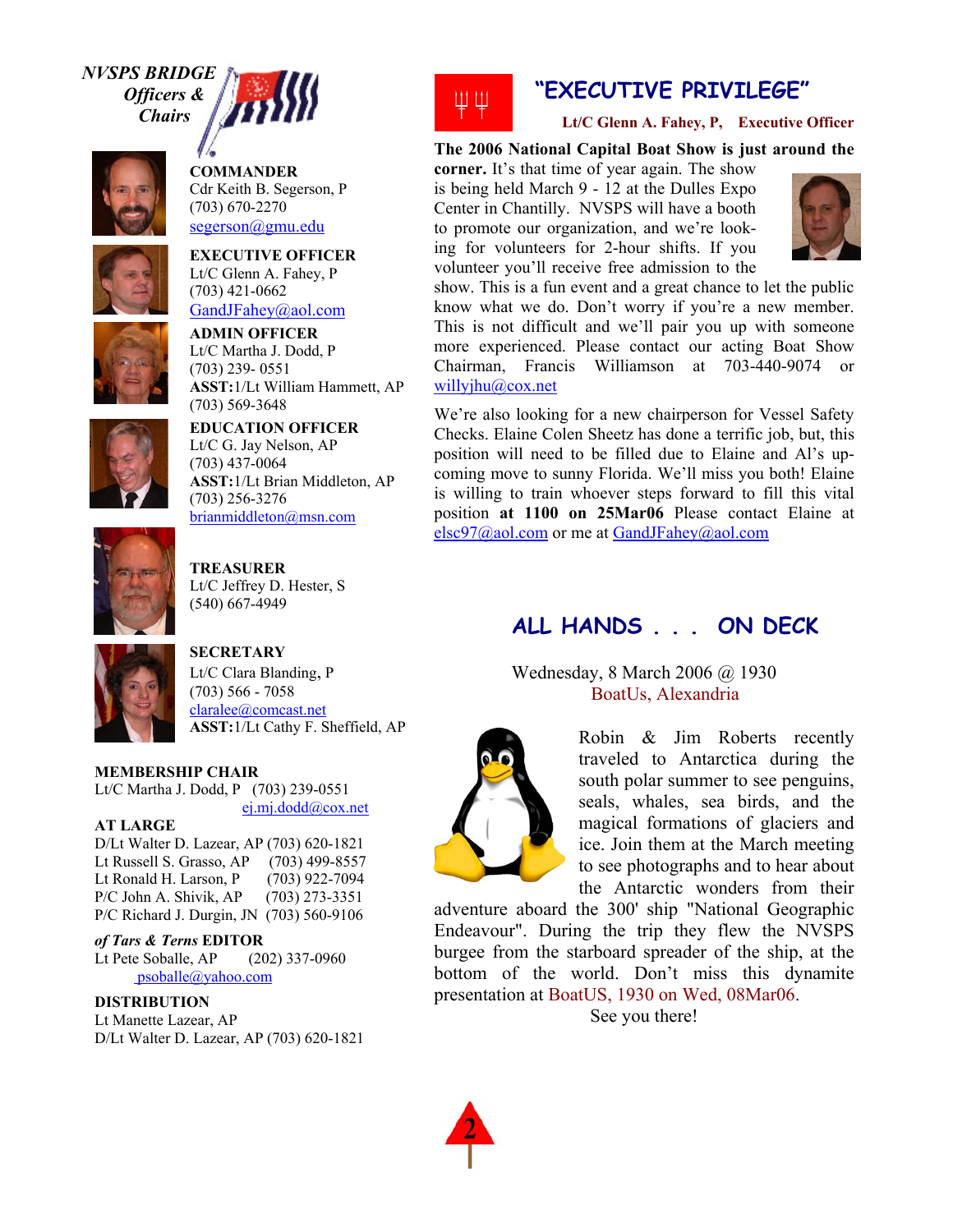*NVSPS BRIDGE Officers & Chairs* 



**COMMANDER**  Cdr Keith B. Segerson, P (703) 670-2270 segerson@gmu.edu



**EXECUTIVE OFFICER**  Lt/C Glenn A. Fahey, P (703) 421-0662 GandJFahey@aol.com

**ADMIN OFFICER**  Lt/C Martha J. Dodd, P (703) 239- 0551 **ASST:**1/Lt William Hammett, AP (703) 569-3648



**EDUCATION OFFICER**  Lt/C G. Jay Nelson, AP (703) 437-0064 **ASST:**1/Lt Brian Middleton, AP (703) 256-3276 brianmiddleton@msn.com



**TREASURER** Lt/C Jeffrey D. Hester, S (540) 667-4949



**SECRETARY**  Lt/C Clara Blanding, P (703) 566 - 7058 claralee@comcast.net **ASST:**1/Lt Cathy F. Sheffield, AP

#### **MEMBERSHIP CHAIR**

Lt/C Martha J. Dodd, P (703) 239-0551 ej.mj.dodd@cox.net

#### **AT LARGE**

D/Lt Walter D. Lazear, AP (703) 620-1821 Lt Russell S. Grasso, AP (703) 499-8557 Lt Ronald H. Larson, P (703) 922-7094 P/C John A. Shivik, AP (703) 273-3351 P/C Richard J. Durgin, JN (703) 560-9106

### *of Tars & Terns* **EDITOR**

Lt Pete Soballe, AP (202) 337-0960 psoballe@yahoo.com

#### **DISTRIBUTION**

Lt Manette Lazear, AP D/Lt Walter D. Lazear, AP (703) 620-1821



### **"EXECUTIVE PRIVILEGE"**

### **Lt/C Glenn A. Fahey, P, Executive Officer**

#### **The 2006 National Capital Boat Show is just around the**

**corner.** It's that time of year again. The show is being held March 9 - 12 at the Dulles Expo Center in Chantilly. NVSPS will have a booth to promote our organization, and we're looking for volunteers for 2-hour shifts. If you volunteer you'll receive free admission to the



show. This is a fun event and a great chance to let the public know what we do. Don't worry if you're a new member. This is not difficult and we'll pair you up with someone more experienced. Please contact our acting Boat Show Chairman, Francis Williamson at 703-440-9074 or willyjhu@cox.net

We're also looking for a new chairperson for Vessel Safety Checks. Elaine Colen Sheetz has done a terrific job, but, this position will need to be filled due to Elaine and Al's upcoming move to sunny Florida. We'll miss you both! Elaine is willing to train whoever steps forward to fill this vital position **at 1100 on 25Mar06** Please contact Elaine at elsc97@aol.com or me at GandJFahey@aol.com

## **ALL HANDS . . . ON DECK**

Wednesday, 8 March 2006 @ 1930 BoatUs, Alexandria



Robin & Jim Roberts recently traveled to Antarctica during the south polar summer to see penguins, seals, whales, sea birds, and the magical formations of glaciers and ice. Join them at the March meeting to see photographs and to hear about the Antarctic wonders from their

adventure aboard the 300' ship "National Geographic Endeavour". During the trip they flew the NVSPS burgee from the starboard spreader of the ship, at the bottom of the world. Don't miss this dynamite presentation at BoatUS, 1930 on Wed, 08Mar06.

See you there!

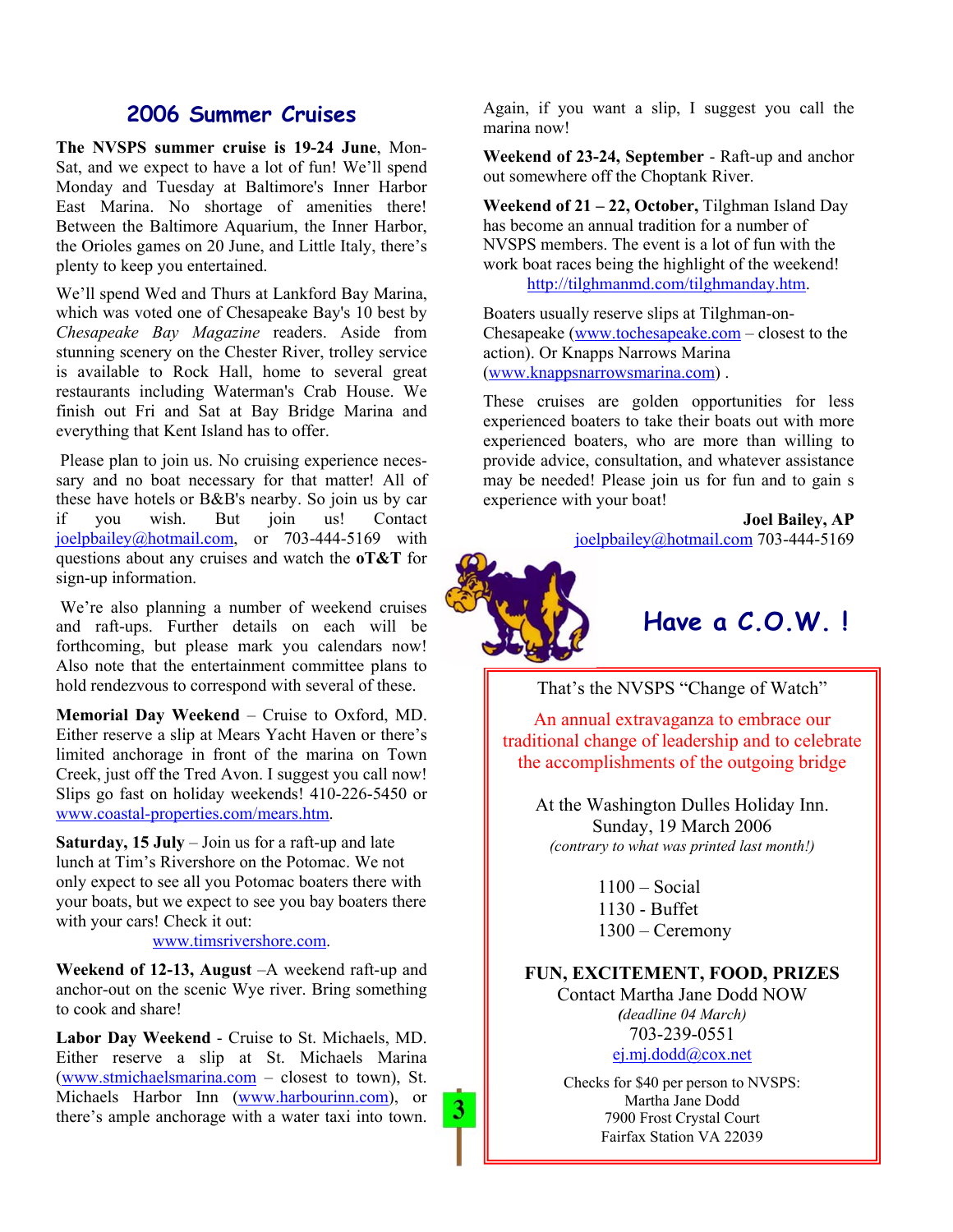### **2006 Summer Cruises**

**The NVSPS summer cruise is 19-24 June**, Mon-Sat, and we expect to have a lot of fun! We'll spend Monday and Tuesday at Baltimore's Inner Harbor East Marina. No shortage of amenities there! Between the Baltimore Aquarium, the Inner Harbor, the Orioles games on 20 June, and Little Italy, there's plenty to keep you entertained.

We'll spend Wed and Thurs at Lankford Bay Marina, which was voted one of Chesapeake Bay's 10 best by *Chesapeake Bay Magazine* readers. Aside from stunning scenery on the Chester River, trolley service is available to Rock Hall, home to several great restaurants including Waterman's Crab House. We finish out Fri and Sat at Bay Bridge Marina and everything that Kent Island has to offer.

 Please plan to join us. No cruising experience necessary and no boat necessary for that matter! All of these have hotels or B&B's nearby. So join us by car if you wish. But join us! Contact joelpbailey@hotmail.com, or 703-444-5169 with questions about any cruises and watch the **oT&T** for sign-up information.

 We're also planning a number of weekend cruises and raft-ups. Further details on each will be forthcoming, but please mark you calendars now! Also note that the entertainment committee plans to hold rendezvous to correspond with several of these.

**Memorial Day Weekend** – Cruise to Oxford, MD. Either reserve a slip at Mears Yacht Haven or there's limited anchorage in front of the marina on Town Creek, just off the Tred Avon. I suggest you call now! Slips go fast on holiday weekends! 410-226-5450 or www.coastal-properties.com/mears.htm.

**Saturday, 15 July** – Join us for a raft-up and late lunch at Tim's Rivershore on the Potomac. We not only expect to see all you Potomac boaters there with your boats, but we expect to see you bay boaters there with your cars! Check it out:

### www.timsrivershore.com.

**Weekend of 12-13, August** –A weekend raft-up and anchor-out on the scenic Wye river. Bring something to cook and share!

**Labor Day Weekend** - Cruise to St. Michaels, MD. Either reserve a slip at St. Michaels Marina (www.stmichaelsmarina.com – closest to town), St. Michaels Harbor Inn (www.harbourinn.com), or there's ample anchorage with a water taxi into town.

Again, if you want a slip, I suggest you call the marina now!

**Weekend of 23-24, September** - Raft-up and anchor out somewhere off the Choptank River.

Weekend of 21 – 22, October, Tilghman Island Day has become an annual tradition for a number of NVSPS members. The event is a lot of fun with the work boat races being the highlight of the weekend! http://tilghmanmd.com/tilghmanday.htm.

Boaters usually reserve slips at Tilghman-on-Chesapeake (www.tochesapeake.com – closest to the action). Or Knapps Narrows Marina (www.knappsnarrowsmarina.com) .

These cruises are golden opportunities for less experienced boaters to take their boats out with more experienced boaters, who are more than willing to provide advice, consultation, and whatever assistance may be needed! Please join us for fun and to gain s experience with your boat!

> **Joel Bailey, AP**  joelpbailey@hotmail.com 703-444-5169



3

# **Have a C.O.W. !**

That's the NVSPS "Change of Watch"

An annual extravaganza to embrace our traditional change of leadership and to celebrate the accomplishments of the outgoing bridge

At the Washington Dulles Holiday Inn. Sunday, 19 March 2006 *(contrary to what was printed last month!)* 

> 1100 – Social 1130 - Buffet 1300 – Ceremony

### **FUN, EXCITEMENT, FOOD, PRIZES**

Contact Martha Jane Dodd NOW*(deadline 04 March)*  703-239-0551

ej.mj.dodd@cox.net

Checks for \$40 per person to NVSPS: Martha Jane Dodd 7900 Frost Crystal Court Fairfax Station VA 22039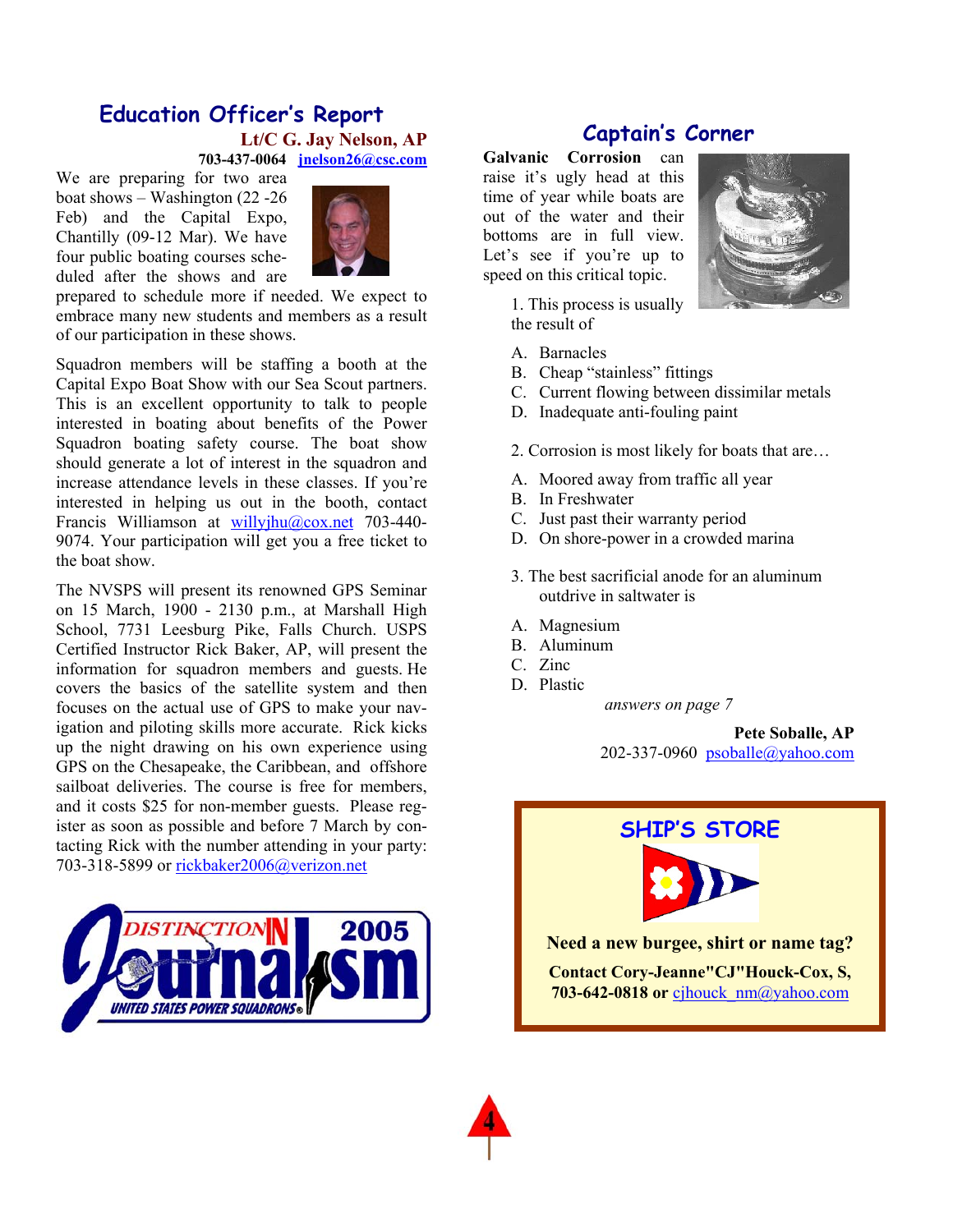## **Education Officer's Report**

**Lt/C G. Jay Nelson, AP 703-437-0064 jnelson26@csc.com**

We are preparing for two area boat shows – Washington (22 -26 Feb) and the Capital Expo, Chantilly (09-12 Mar). We have four public boating courses scheduled after the shows and are



prepared to schedule more if needed. We expect to embrace many new students and members as a result of our participation in these shows.

Squadron members will be staffing a booth at the Capital Expo Boat Show with our Sea Scout partners. This is an excellent opportunity to talk to people interested in boating about benefits of the Power Squadron boating safety course. The boat show should generate a lot of interest in the squadron and increase attendance levels in these classes. If you're interested in helping us out in the booth, contact Francis Williamson at willyjhu@cox.net 703-440- 9074. Your participation will get you a free ticket to the boat show.

The NVSPS will present its renowned GPS Seminar on 15 March, 1900 - 2130 p.m., at Marshall High School, 7731 Leesburg Pike, Falls Church. USPS Certified Instructor Rick Baker, AP, will present the information for squadron members and guests. He covers the basics of the satellite system and then focuses on the actual use of GPS to make your navigation and piloting skills more accurate. Rick kicks up the night drawing on his own experience using GPS on the Chesapeake, the Caribbean, and offshore sailboat deliveries. The course is free for members, and it costs \$25 for non-member guests. Please register as soon as possible and before 7 March by contacting Rick with the number attending in your party: 703-318-5899 or rickbaker2006@verizon.net



## **Captain's Corner**

**Galvanic Corrosion** can raise it's ugly head at this time of year while boats are out of the water and their bottoms are in full view. Let's see if you're up to speed on this critical topic.



1. This process is usually the result of

- A. Barnacles
- B. Cheap "stainless" fittings
- C. Current flowing between dissimilar metals
- D. Inadequate anti-fouling paint
- 2. Corrosion is most likely for boats that are…
- A. Moored away from traffic all year
- B. In Freshwater
- C. Just past their warranty period
- D. On shore-power in a crowded marina
- 3. The best sacrificial anode for an aluminum outdrive in saltwater is
- A. Magnesium
- B. Aluminum
- C. Zinc
- D. Plastic

*answers on page 7* 

**Pete Soballe, AP**  202-337-0960 psoballe@yahoo.com

# **SHIP'S STORE**



**Need a new burgee, shirt or name tag?** 

**Contact Cory-Jeanne"CJ"Houck-Cox, S, 703-642-0818 or** cjhouck\_nm@yahoo.com

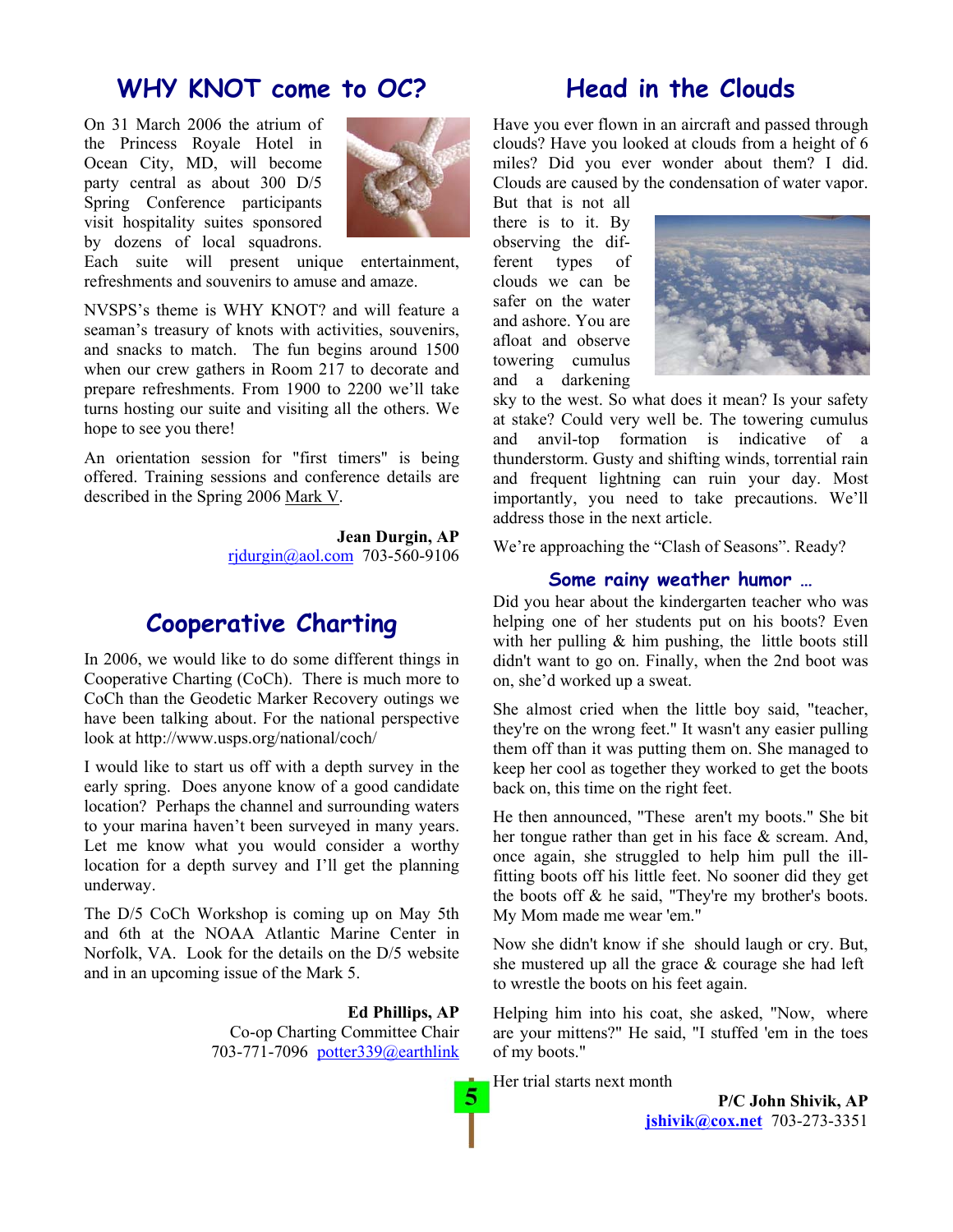## **WHY KNOT come to OC?**

On 31 March 2006 the atrium of the Princess Royale Hotel in Ocean City, MD, will become party central as about 300 D/5 Spring Conference participants visit hospitality suites sponsored by dozens of local squadrons.



Each suite will present unique entertainment, refreshments and souvenirs to amuse and amaze.

NVSPS's theme is WHY KNOT? and will feature a seaman's treasury of knots with activities, souvenirs, and snacks to match. The fun begins around 1500 when our crew gathers in Room 217 to decorate and prepare refreshments. From 1900 to 2200 we'll take turns hosting our suite and visiting all the others. We hope to see you there!

An orientation session for "first timers" is being offered. Training sessions and conference details are described in the Spring 2006 Mark V.

> **Jean Durgin, AP**  rjdurgin@aol.com 703-560-9106

## **Cooperative Charting**

In 2006, we would like to do some different things in Cooperative Charting (CoCh). There is much more to CoCh than the Geodetic Marker Recovery outings we have been talking about. For the national perspective look at http://www.usps.org/national/coch/

I would like to start us off with a depth survey in the early spring. Does anyone know of a good candidate location? Perhaps the channel and surrounding waters to your marina haven't been surveyed in many years. Let me know what you would consider a worthy location for a depth survey and I'll get the planning underway.

The D/5 CoCh Workshop is coming up on May 5th and 6th at the NOAA Atlantic Marine Center in Norfolk, VA. Look for the details on the D/5 website and in an upcoming issue of the Mark 5.

> **Ed Phillips, AP**  Co-op Charting Committee Chair 703-771-7096 potter339@earthlink

## **Head in the Clouds**

Have you ever flown in an aircraft and passed through clouds? Have you looked at clouds from a height of 6 miles? Did you ever wonder about them? I did. Clouds are caused by the condensation of water vapor.

But that is not all there is to it. By observing the different types of clouds we can be safer on the water and ashore. You are afloat and observe towering cumulus and a darkening



sky to the west. So what does it mean? Is your safety at stake? Could very well be. The towering cumulus and anvil-top formation is indicative of a thunderstorm. Gusty and shifting winds, torrential rain and frequent lightning can ruin your day. Most importantly, you need to take precautions. We'll address those in the next article.

We're approaching the "Clash of Seasons". Ready?

### **Some rainy weather humor …**

Did you hear about the kindergarten teacher who was helping one of her students put on his boots? Even with her pulling  $\&$  him pushing, the little boots still didn't want to go on. Finally, when the 2nd boot was on, she'd worked up a sweat.

She almost cried when the little boy said, "teacher, they're on the wrong feet." It wasn't any easier pulling them off than it was putting them on. She managed to keep her cool as together they worked to get the boots back on, this time on the right feet.

He then announced, "These aren't my boots." She bit her tongue rather than get in his face & scream. And, once again, she struggled to help him pull the illfitting boots off his little feet. No sooner did they get the boots off & he said, "They're my brother's boots. My Mom made me wear 'em."

Now she didn't know if she should laugh or cry. But, she mustered up all the grace & courage she had left to wrestle the boots on his feet again.

Helping him into his coat, she asked, "Now, where are your mittens?" He said, "I stuffed 'em in the toes of my boots."

Her trial starts next month

**P/C John Shivik, AP jshivik@cox.net** 703-273-3351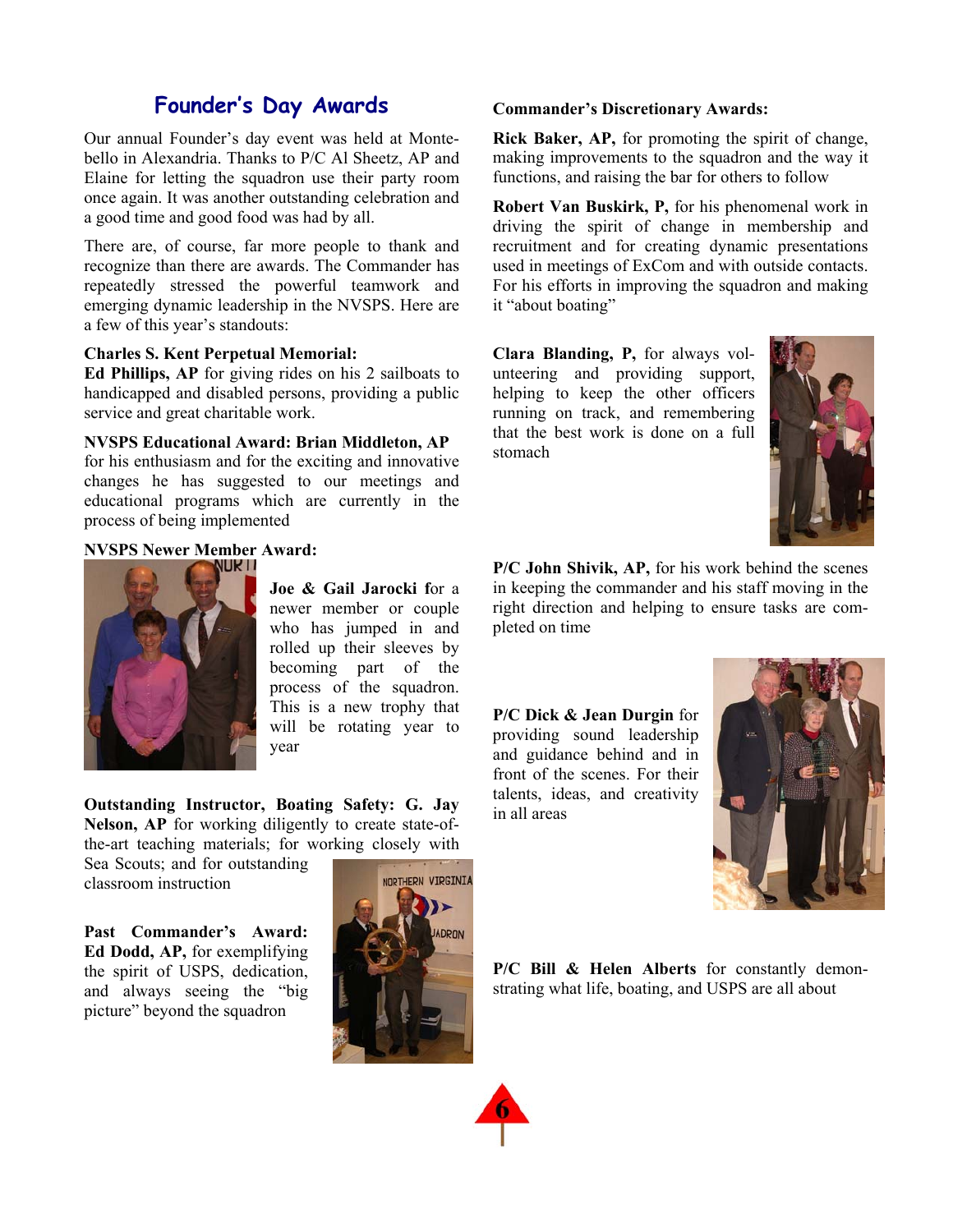### **Founder's Day Awards**

Our annual Founder's day event was held at Montebello in Alexandria. Thanks to P/C Al Sheetz, AP and Elaine for letting the squadron use their party room once again. It was another outstanding celebration and a good time and good food was had by all.

There are, of course, far more people to thank and recognize than there are awards. The Commander has repeatedly stressed the powerful teamwork and emerging dynamic leadership in the NVSPS. Here are a few of this year's standouts:

#### **Charles S. Kent Perpetual Memorial:**

**Ed Phillips, AP** for giving rides on his 2 sailboats to handicapped and disabled persons, providing a public service and great charitable work.

**NVSPS Educational Award: Brian Middleton, AP**  for his enthusiasm and for the exciting and innovative changes he has suggested to our meetings and educational programs which are currently in the process of being implemented

# **NVSPS Newer Member Award:**



**Joe & Gail Jarocki f**or a newer member or couple who has jumped in and rolled up their sleeves by becoming part of the process of the squadron. This is a new trophy that will be rotating year to year

**Outstanding Instructor, Boating Safety: G. Jay Nelson, AP** for working diligently to create state-ofthe-art teaching materials; for working closely with

Sea Scouts; and for outstanding classroom instruction

**Past Commander's Award: Ed Dodd, AP,** for exemplifying the spirit of USPS, dedication, and always seeing the "big picture" beyond the squadron



#### **Commander's Discretionary Awards:**

**Rick Baker, AP,** for promoting the spirit of change, making improvements to the squadron and the way it functions, and raising the bar for others to follow

**Robert Van Buskirk, P,** for his phenomenal work in driving the spirit of change in membership and recruitment and for creating dynamic presentations used in meetings of ExCom and with outside contacts. For his efforts in improving the squadron and making it "about boating"

**Clara Blanding, P,** for always volunteering and providing support, helping to keep the other officers running on track, and remembering that the best work is done on a full stomach



**P/C John Shivik, AP,** for his work behind the scenes in keeping the commander and his staff moving in the right direction and helping to ensure tasks are completed on time

**P/C Dick & Jean Durgin** for providing sound leadership and guidance behind and in front of the scenes. For their talents, ideas, and creativity in all areas



**P/C Bill & Helen Alberts** for constantly demonstrating what life, boating, and USPS are all about

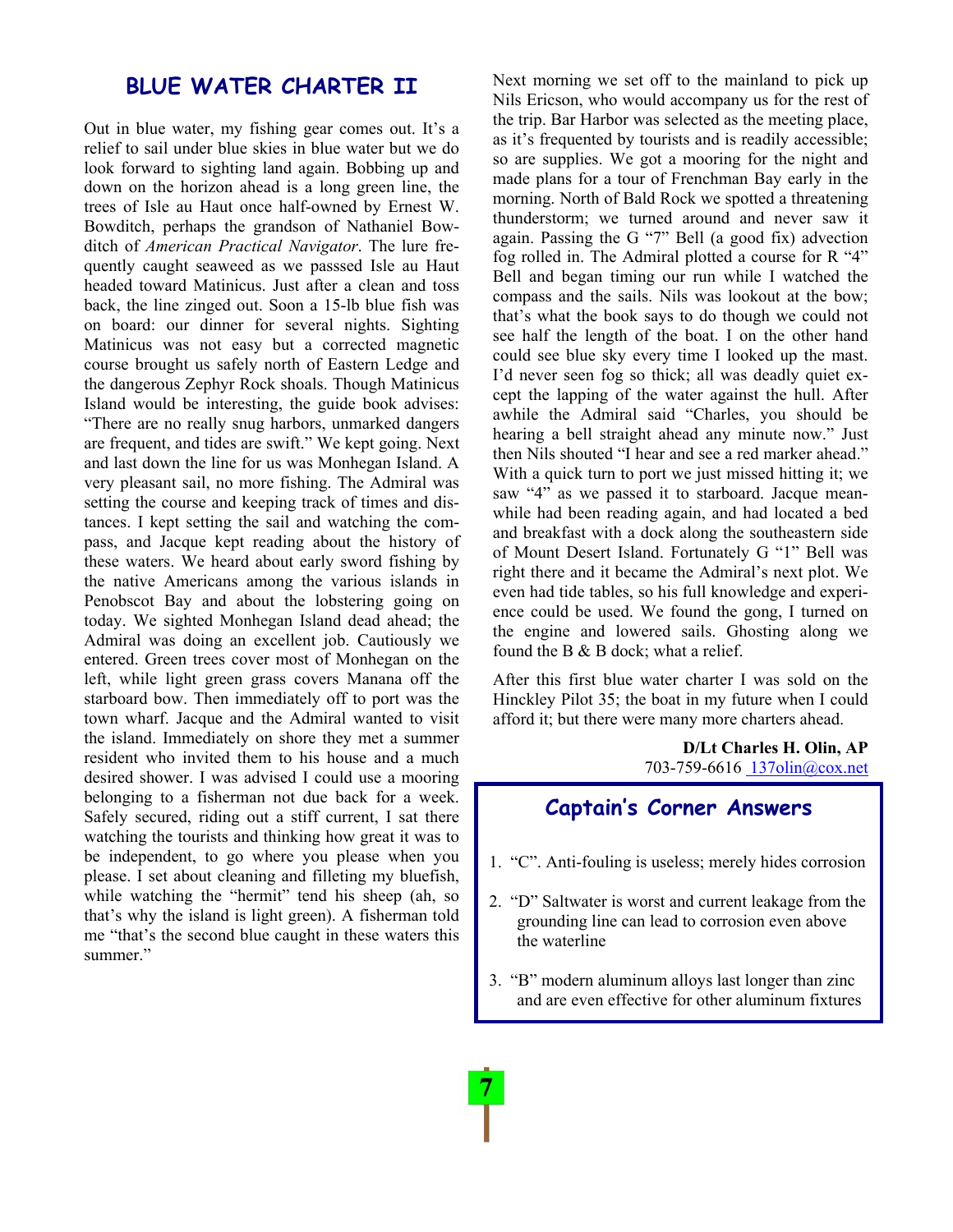### **BLUE WATER CHARTER II**

Out in blue water, my fishing gear comes out. It's a relief to sail under blue skies in blue water but we do look forward to sighting land again. Bobbing up and down on the horizon ahead is a long green line, the trees of Isle au Haut once half-owned by Ernest W. Bowditch, perhaps the grandson of Nathaniel Bowditch of *American Practical Navigator*. The lure frequently caught seaweed as we passsed Isle au Haut headed toward Matinicus. Just after a clean and toss back, the line zinged out. Soon a 15-lb blue fish was on board: our dinner for several nights. Sighting Matinicus was not easy but a corrected magnetic course brought us safely north of Eastern Ledge and the dangerous Zephyr Rock shoals. Though Matinicus Island would be interesting, the guide book advises: "There are no really snug harbors, unmarked dangers are frequent, and tides are swift." We kept going. Next and last down the line for us was Monhegan Island. A very pleasant sail, no more fishing. The Admiral was setting the course and keeping track of times and distances. I kept setting the sail and watching the compass, and Jacque kept reading about the history of these waters. We heard about early sword fishing by the native Americans among the various islands in Penobscot Bay and about the lobstering going on today. We sighted Monhegan Island dead ahead; the Admiral was doing an excellent job. Cautiously we entered. Green trees cover most of Monhegan on the left, while light green grass covers Manana off the starboard bow. Then immediately off to port was the town wharf. Jacque and the Admiral wanted to visit the island. Immediately on shore they met a summer resident who invited them to his house and a much desired shower. I was advised I could use a mooring belonging to a fisherman not due back for a week. Safely secured, riding out a stiff current, I sat there watching the tourists and thinking how great it was to be independent, to go where you please when you please. I set about cleaning and filleting my bluefish, while watching the "hermit" tend his sheep (ah, so that's why the island is light green). A fisherman told me "that's the second blue caught in these waters this summer."

Next morning we set off to the mainland to pick up Nils Ericson, who would accompany us for the rest of the trip. Bar Harbor was selected as the meeting place, as it's frequented by tourists and is readily accessible; so are supplies. We got a mooring for the night and made plans for a tour of Frenchman Bay early in the morning. North of Bald Rock we spotted a threatening thunderstorm; we turned around and never saw it again. Passing the G "7" Bell (a good fix) advection fog rolled in. The Admiral plotted a course for R "4" Bell and began timing our run while I watched the compass and the sails. Nils was lookout at the bow; that's what the book says to do though we could not see half the length of the boat. I on the other hand could see blue sky every time I looked up the mast. I'd never seen fog so thick; all was deadly quiet except the lapping of the water against the hull. After awhile the Admiral said "Charles, you should be hearing a bell straight ahead any minute now." Just then Nils shouted "I hear and see a red marker ahead." With a quick turn to port we just missed hitting it; we saw "4" as we passed it to starboard. Jacque meanwhile had been reading again, and had located a bed and breakfast with a dock along the southeastern side of Mount Desert Island. Fortunately G "1" Bell was right there and it became the Admiral's next plot. We even had tide tables, so his full knowledge and experience could be used. We found the gong, I turned on the engine and lowered sails. Ghosting along we found the B & B dock; what a relief.

After this first blue water charter I was sold on the Hinckley Pilot 35; the boat in my future when I could afford it; but there were many more charters ahead.

> **D/Lt Charles H. Olin, AP**  703-759-6616 137olin@cox.net

### **Captain's Corner Answers**

- 1. "C". Anti-fouling is useless; merely hides corrosion
- 2. "D" Saltwater is worst and current leakage from the grounding line can lead to corrosion even above the waterline
- 3. "B" modern aluminum alloys last longer than zinc and are even effective for other aluminum fixtures